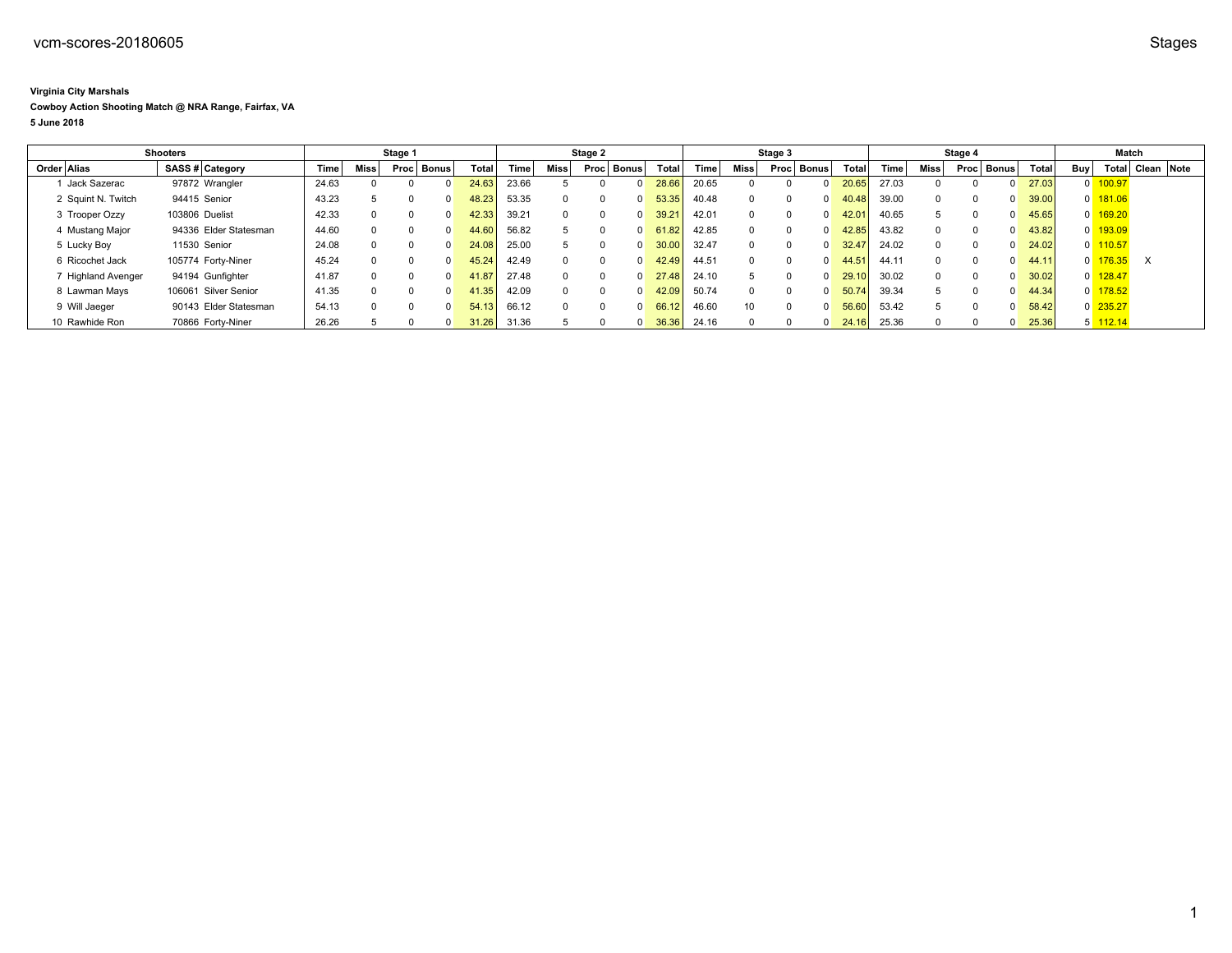## **Virginia City Marshals**

## **Cowboy Action Shooting Match @ NRA Range, Fairfax, VA**

**5 June 2018**

| <b>Shooters</b> |                    |                       | Stage 1 |       |             |      | Stage 2 |       |       |             | Stage 3  |          |                    |       | Stage 4  |          |              |       | Match |             |  |            |       |     |            |                  |  |
|-----------------|--------------------|-----------------------|---------|-------|-------------|------|---------|-------|-------|-------------|----------|----------|--------------------|-------|----------|----------|--------------|-------|-------|-------------|--|------------|-------|-----|------------|------------------|--|
|                 | Order Alias        | SASS # Category       |         | Time  | <b>Miss</b> | Proc | Bonus   | Total | Time. | <b>Miss</b> | Proc     | Bonus    | Total              | Time, | Miss     | Proc     | <b>Bonus</b> | Total | Time  | <b>Miss</b> |  | Proc Bonus | Total | Buy |            | Total Clean Note |  |
|                 | Jack Sazerac       | 97872 Wrangler        |         | 24.63 |             |      |         | 24.63 | 23.66 |             |          | $\Omega$ | 28.66              | 20.65 |          |          |              | 20.65 | 27.03 |             |  |            | 27.03 |     | 100.97     |                  |  |
|                 | 2 Squint N. Twitch | 94415 Senior          |         | 43.23 |             |      |         | 48.23 | 53.35 | $\Omega$    |          | $\Omega$ | 53.35              | 40.48 |          |          |              | 40.48 | 39.00 |             |  |            | 39.00 |     | 181.06     |                  |  |
|                 | 3 Trooper Ozzy     | 103806 Duelist        |         | 42.33 | $\Omega$    |      |         | 42.33 | 39.21 | $\Omega$    | $\Omega$ | $\Omega$ | 39.21              | 42.01 | $\Omega$ |          |              | 42.01 | 40.65 |             |  |            | 45.65 |     | 169.20     |                  |  |
|                 | 4 Mustang Major    | 94336 Elder Statesman |         | 44.60 | $\Omega$    |      |         | 44.60 | 56.82 | 5           | $\Omega$ | $\Omega$ | 51.82 <sub>1</sub> | 42.85 | $\Omega$ | $\Omega$ |              | 42.85 | 43.82 |             |  |            | 43.82 |     | 193.09     |                  |  |
|                 | 5 Lucky Boy        | 11530 Senior          |         | 24.08 | $\Omega$    |      |         | 24.08 | 25.00 |             | $\Omega$ | $\Omega$ | 30.00              | 32.47 | $\Omega$ |          |              | 32.47 | 24.02 |             |  |            | 24.02 |     | 110.57     |                  |  |
|                 | 6 Ricochet Jack    | 105774 Forty-Niner    |         | 45.24 | $\Omega$    |      |         | 45.24 | 42.49 | $\Omega$    | $\Omega$ | $\Omega$ | 42.49.             | 44.51 | 0        | $\Omega$ |              | 44.51 | 44.11 |             |  |            | 44.11 |     | 176.35     | $\times$         |  |
|                 | 7 Highland Avenger | 94194 Gunfighter      |         | 41.87 |             |      |         | 41.87 | 27.48 | $\Omega$    | $\Omega$ | $\Omega$ | 27.48              | 24.10 |          |          |              | 29.10 | 30.02 |             |  |            | 30.02 |     | 128.47     |                  |  |
|                 | 8 Lawman Mays      | 106061 Silver Senior  |         | 41.35 | $\Omega$    |      |         | 41.35 | 42.09 | $\Omega$    | $\Omega$ | $\Omega$ | 42.09              | 50.74 | $\Omega$ | 0        |              | 50.74 | 39.34 |             |  |            | 44.34 |     | 178.52     |                  |  |
|                 | 9 Will Jaeger      | 90143 Elder Statesman |         | 54.13 | $\Omega$    |      |         | 54.13 | 66.12 | $\Omega$    | $\Omega$ | $\Omega$ | 66.12              | 46.60 | 10       | $\Omega$ |              | 56.60 | 53.42 |             |  |            | 58.42 |     | $0$ 235.27 |                  |  |
|                 | 10 Rawhide Ron     | 70866 Fortv-Niner     |         | 26.26 |             |      |         | 31.26 | 31.36 |             |          | $\Omega$ | 36.36              | 24.16 |          |          |              | 24.16 | 25.36 |             |  |            | 25.36 |     | 112.14     |                  |  |